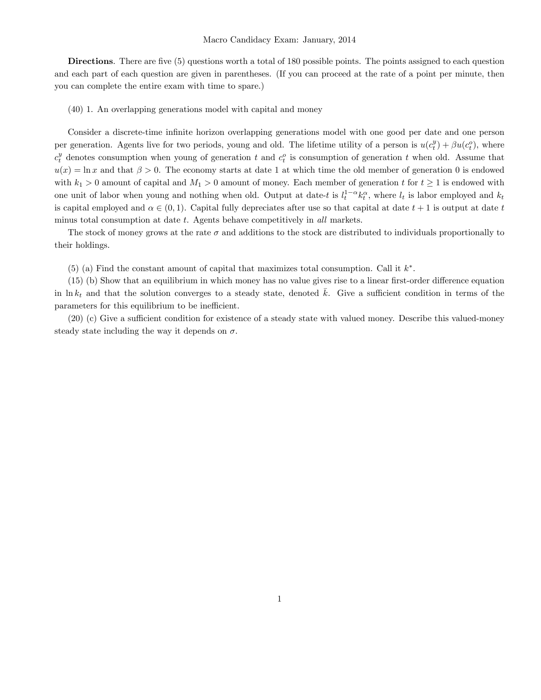Directions. There are five (5) questions worth a total of 180 possible points. The points assigned to each question and each part of each question are given in parentheses. (If you can proceed at the rate of a point per minute, then you can complete the entire exam with time to spare.)

(40) 1. An overlapping generations model with capital and money

Consider a discrete-time infinite horizon overlapping generations model with one good per date and one person per generation. Agents live for two periods, young and old. The lifetime utility of a person is  $u(c_t^y) + \beta u(c_t^o)$ , where  $c_t^y$  denotes consumption when young of generation t and  $c_t^o$  is consumption of generation t when old. Assume that  $u(x) = \ln x$  and that  $\beta > 0$ . The economy starts at date 1 at which time the old member of generation 0 is endowed with  $k_1 > 0$  amount of capital and  $M_1 > 0$  amount of money. Each member of generation t for  $t \ge 1$  is endowed with one unit of labor when young and nothing when old. Output at date-t is  $l_t^{1-\alpha}k_t^{\alpha}$ , where  $l_t$  is labor employed and  $k_t$ is capital employed and  $\alpha \in (0,1)$ . Capital fully depreciates after use so that capital at date  $t + 1$  is output at date t minus total consumption at date t. Agents behave competitively in all markets.

The stock of money grows at the rate  $\sigma$  and additions to the stock are distributed to individuals proportionally to their holdings.

 $(5)$  (a) Find the constant amount of capital that maximizes total consumption. Call it  $k^*$ .

 $(15)$  (b) Show that an equilibrium in which money has no value gives rise to a linear first-order difference equation in ln  $k_t$  and that the solution converges to a steady state, denoted k. Give a sufficient condition in terms of the parameters for this equilibrium to be inefficient.

 $(20)$  (c) Give a sufficient condition for existence of a steady state with valued money. Describe this valued-money steady state including the way it depends on  $\sigma$ .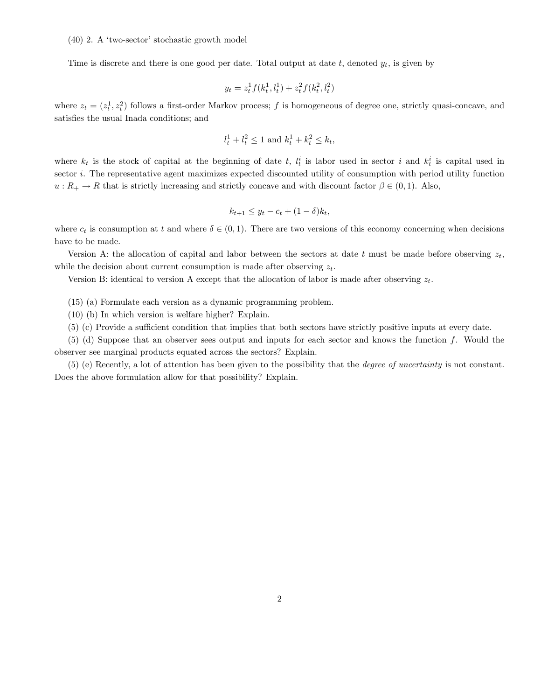## $(40)$  2. A 'two-sector' stochastic growth model

Time is discrete and there is one good per date. Total output at date  $t$ , denoted  $y_t$ , is given by

$$
y_t = z_t^1 f(k_t^1, l_t^1) + z_t^2 f(k_t^2, l_t^2)
$$

where  $z_t = (z_t^1, z_t^2)$  follows a first-order Markov process; f is homogeneous of degree one, strictly quasi-concave, and satisfies the usual Inada conditions; and

$$
l_t^1 + l_t^2 \le 1 \text{ and } k_t^1 + k_t^2 \le k_t,
$$

where  $k_t$  is the stock of capital at the beginning of date t,  $l_t^i$  is labor used in sector i and  $k_t^i$  is capital used in sector i. The representative agent maximizes expected discounted utility of consumption with period utility function  $u: R_+ \to R$  that is strictly increasing and strictly concave and with discount factor  $\beta \in (0,1)$ . Also,

$$
k_{t+1} \leq y_t - c_t + (1 - \delta)k_t,
$$

where  $c_t$  is consumption at t and where  $\delta \in (0,1)$ . There are two versions of this economy concerning when decisions have to be made.

Version A: the allocation of capital and labor between the sectors at date t must be made before observing  $z_t$ , while the decision about current consumption is made after observing  $z_t$ .

Version B: identical to version A except that the allocation of labor is made after observing  $z_t$ .

(15) (a) Formulate each version as a dynamic programming problem.

(10) (b) In which version is welfare higher? Explain.

(5) (c) Provide a sufficient condition that implies that both sectors have strictly positive inputs at every date.

(5) (d) Suppose that an observer sees output and inputs for each sector and knows the function f. Would the observer see marginal products equated across the sectors? Explain.

(5) (e) Recently, a lot of attention has been given to the possibility that the degree of uncertainty is not constant. Does the above formulation allow for that possibility? Explain.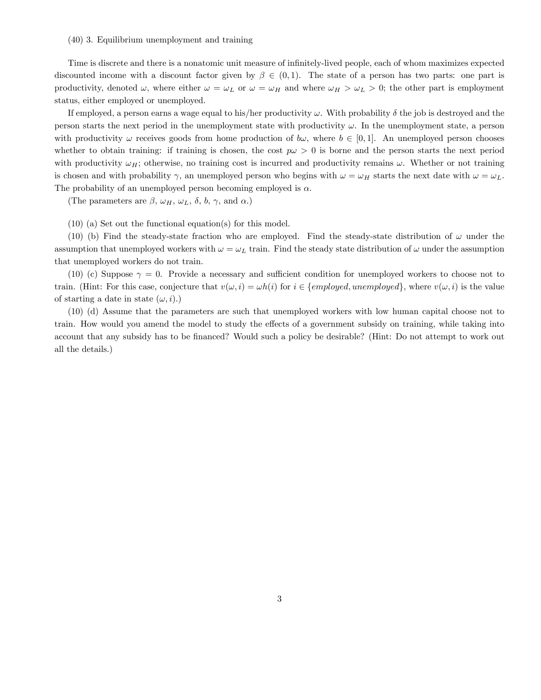## (40) 3. Equilibrium unemployment and training

Time is discrete and there is a nonatomic unit measure of infinitely-lived people, each of whom maximizes expected discounted income with a discount factor given by  $\beta \in (0,1)$ . The state of a person has two parts: one part is productivity, denoted  $\omega$ , where either  $\omega = \omega_L$  or  $\omega = \omega_H$  and where  $\omega_H > \omega_L > 0$ ; the other part is employment status, either employed or unemployed.

If employed, a person earns a wage equal to his/her productivity  $\omega$ . With probability  $\delta$  the job is destroyed and the person starts the next period in the unemployment state with productivity  $\omega$ . In the unemployment state, a person with productivity  $\omega$  receives goods from home production of  $b\omega$ , where  $b \in [0,1]$ . An unemployed person chooses whether to obtain training: if training is chosen, the cost  $p\omega > 0$  is borne and the person starts the next period with productivity  $\omega_H$ ; otherwise, no training cost is incurred and productivity remains  $\omega$ . Whether or not training is chosen and with probability  $\gamma$ , an unemployed person who begins with  $\omega = \omega_H$  starts the next date with  $\omega = \omega_L$ . The probability of an unemployed person becoming employed is  $\alpha$ .

(The parameters are  $\beta$ ,  $\omega_H$ ,  $\omega_L$ ,  $\delta$ ,  $b$ ,  $\gamma$ , and  $\alpha$ .)

(10) (a) Set out the functional equation(s) for this model.

(10) (b) Find the steady-state fraction who are employed. Find the steady-state distribution of  $\omega$  under the assumption that unemployed workers with  $\omega = \omega_L$  train. Find the steady state distribution of  $\omega$  under the assumption that unemployed workers do not train.

(10) (c) Suppose  $\gamma = 0$ . Provide a necessary and sufficient condition for unemployed workers to choose not to train. (Hint: For this case, conjecture that  $v(\omega, i) = \omega h(i)$  for  $i \in \{employed, unemployed\}$ , where  $v(\omega, i)$  is the value of starting a date in state  $(\omega, i)$ .)

(10) (d) Assume that the parameters are such that unemployed workers with low human capital choose not to train. How would you amend the model to study the effects of a government subsidy on training, while taking into account that any subsidy has to be financed? Would such a policy be desirable? (Hint: Do not attempt to work out all the details.)